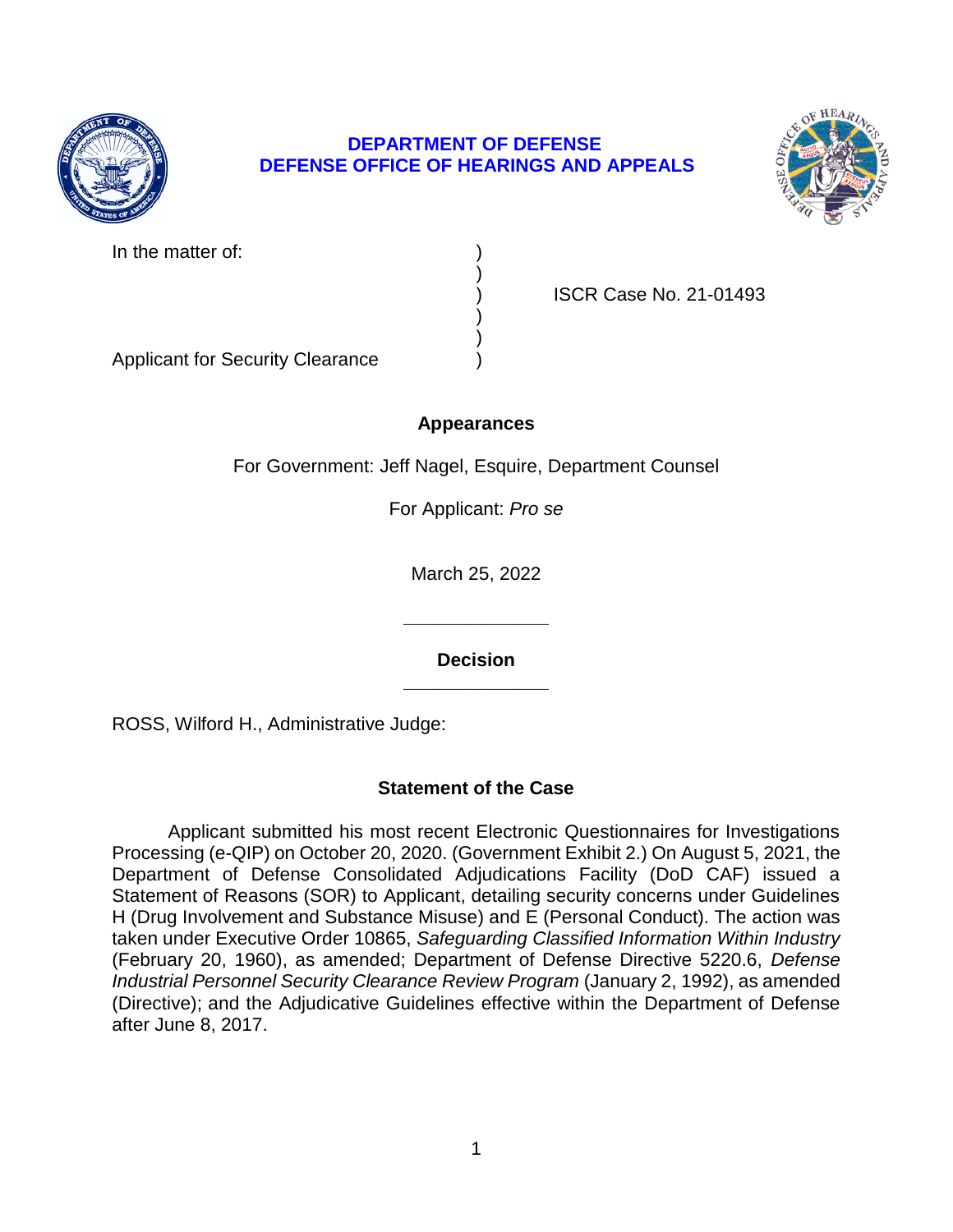

## **DEPARTMENT OF DEFENSE DEFENSE OFFICE OF HEARINGS AND APPEALS**

)

) )



In the matter of:

) ISCR Case No. 21-01493

Applicant for Security Clearance )

# **Appearances**

For Government: Jeff Nagel, Esquire, Department Counsel

For Applicant: *Pro se* 

March 25, 2022

**\_\_\_\_\_\_\_\_\_\_\_\_\_\_ Decision** 

**\_\_\_\_\_\_\_\_\_\_\_\_\_\_** 

ROSS, Wilford H., Administrative Judge:

# **Statement of the Case**

 Processing (e-QIP) on October 20, 2020. (Government Exhibit 2.) On August 5, 2021, the Department of Defense Consolidated Adjudications Facility (DoD CAF) issued a Statement of Reasons (SOR) to Applicant, detailing security concerns under Guidelines  taken under Executive Order 10865, *Safeguarding Classified Information Within Industry*  (February 20, 1960), as amended; Department of Defense Directive 5220.6, *Defense*  Industrial Personnel Security Clearance Review Program (January 2, 1992), as amended (Directive); and the Adjudicative Guidelines effective within the Department of Defense Applicant submitted his most recent Electronic Questionnaires for Investigations H (Drug Involvement and Substance Misuse) and E (Personal Conduct). The action was after June 8, 2017.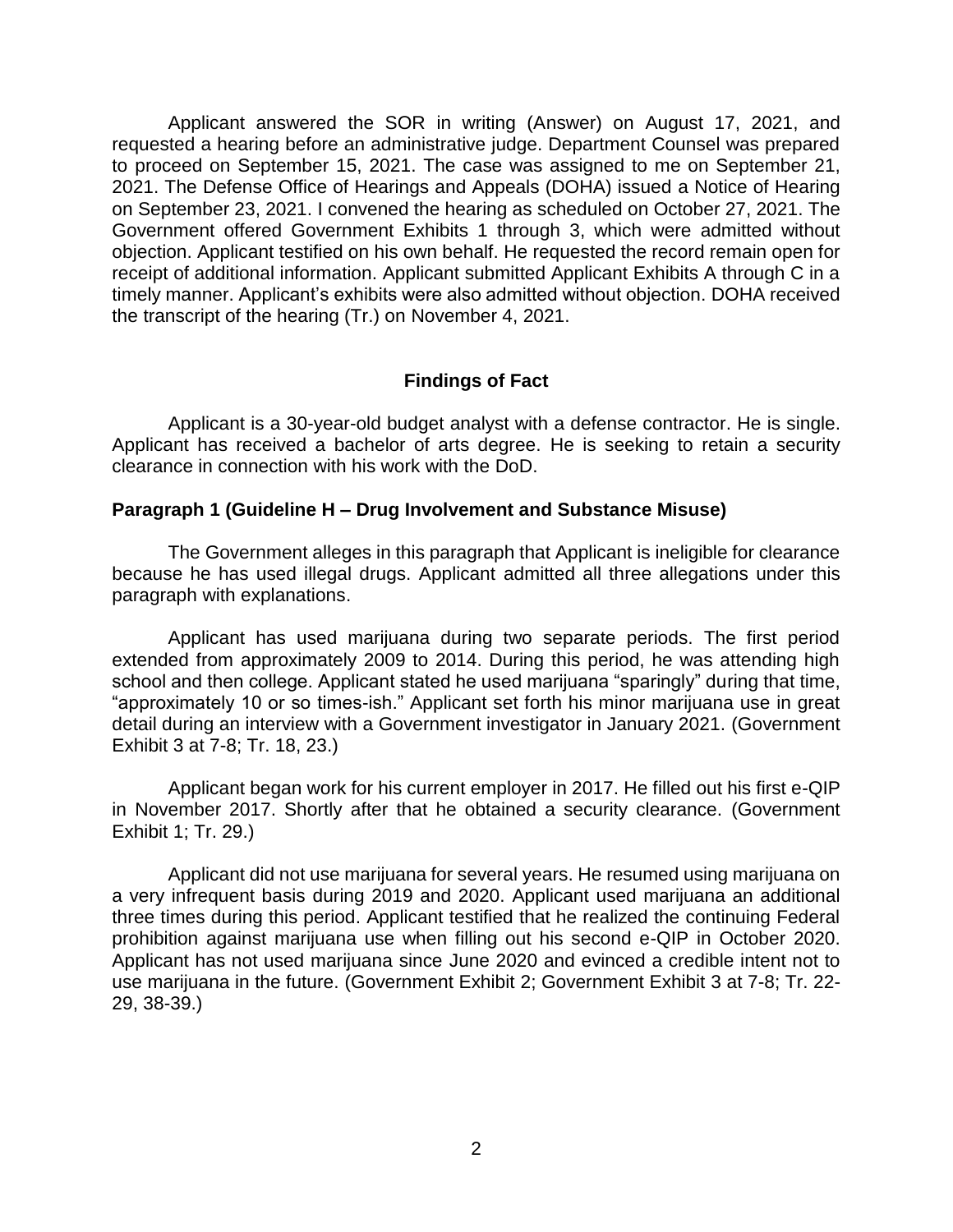Applicant answered the SOR in writing (Answer) on August 17, 2021, and requested a hearing before an administrative judge. Department Counsel was prepared to proceed on September 15, 2021. The case was assigned to me on September 21, 2021. The Defense Office of Hearings and Appeals (DOHA) issued a Notice of Hearing Government offered Government Exhibits 1 through 3, which were admitted without objection. Applicant testified on his own behalf. He requested the record remain open for receipt of additional information. Applicant submitted Applicant Exhibits A through C in a timely manner. Applicant's exhibits were also admitted without objection. DOHA received on September 23, 2021. I convened the hearing as scheduled on October 27, 2021. The the transcript of the hearing (Tr.) on November 4, 2021.

#### **Findings of Fact**

 Applicant is a 30-year-old budget analyst with a defense contractor. He is single. Applicant has received a bachelor of arts degree. He is seeking to retain a security clearance in connection with his work with the DoD.

#### **Paragraph 1 (Guideline H – Drug Involvement and Substance Misuse)**

 The Government alleges in this paragraph that Applicant is ineligible for clearance because he has used illegal drugs. Applicant admitted all three allegations under this paragraph with explanations.

 Applicant has used marijuana during two separate periods. The first period extended from approximately 2009 to 2014. During this period, he was attending high school and then college. Applicant stated he used marijuana "sparingly" during that time, "approximately 10 or so times-ish." Applicant set forth his minor marijuana use in great detail during an interview with a Government investigator in January 2021. (Government Exhibit 3 at 7-8; Tr. 18, 23.)

 in November 2017. Shortly after that he obtained a security clearance. (Government Applicant began work for his current employer in 2017. He filled out his first e-QIP Exhibit 1; Tr. 29.)

Applicant did not use marijuana for several years. He resumed using marijuana on a very infrequent basis during 2019 and 2020. Applicant used marijuana an additional three times during this period. Applicant testified that he realized the continuing Federal prohibition against marijuana use when filling out his second e-QIP in October 2020. Applicant has not used marijuana since June 2020 and evinced a credible intent not to use marijuana in the future. (Government Exhibit 2; Government Exhibit 3 at 7-8; Tr. 22- 29, 38-39.)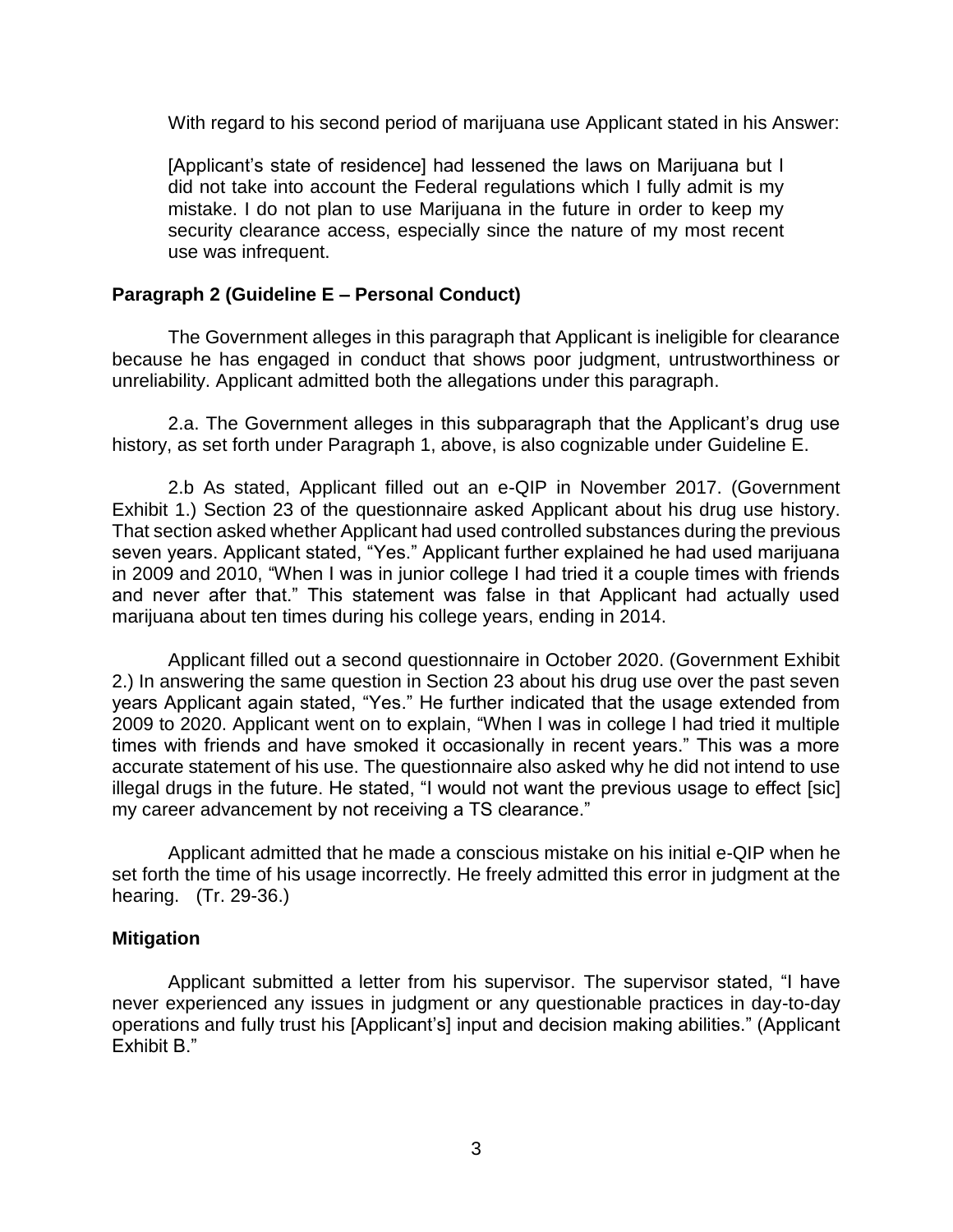With regard to his second period of marijuana use Applicant stated in his Answer:

[Applicant's state of residence] had lessened the laws on Marijuana but I did not take into account the Federal regulations which I fully admit is my mistake. I do not plan to use Marijuana in the future in order to keep my security clearance access, especially since the nature of my most recent use was infrequent.

## **Paragraph 2 (Guideline E – Personal Conduct)**

 The Government alleges in this paragraph that Applicant is ineligible for clearance because he has engaged in conduct that shows poor judgment, untrustworthiness or unreliability. Applicant admitted both the allegations under this paragraph.

2.a. The Government alleges in this subparagraph that the Applicant's drug use history, as set forth under Paragraph 1, above, is also cognizable under Guideline E.

2.b As stated, Applicant filled out an e-QIP in November 2017. (Government Exhibit 1.) Section 23 of the questionnaire asked Applicant about his drug use history. That section asked whether Applicant had used controlled substances during the previous seven years. Applicant stated, "Yes." Applicant further explained he had used marijuana in 2009 and 2010, "When I was in junior college I had tried it a couple times with friends and never after that." This statement was false in that Applicant had actually used marijuana about ten times during his college years, ending in 2014.

 Applicant filled out a second questionnaire in October 2020. (Government Exhibit 2.) In answering the same question in Section 23 about his drug use over the past seven years Applicant again stated, "Yes." He further indicated that the usage extended from 2009 to 2020. Applicant went on to explain, "When I was in college I had tried it multiple times with friends and have smoked it occasionally in recent years." This was a more accurate statement of his use. The questionnaire also asked why he did not intend to use illegal drugs in the future. He stated, "I would not want the previous usage to effect [sic] my career advancement by not receiving a TS clearance."

 Applicant admitted that he made a conscious mistake on his initial e-QIP when he set forth the time of his usage incorrectly. He freely admitted this error in judgment at the hearing. (Tr. 29-36.)

#### **Mitigation**

 Applicant submitted a letter from his supervisor. The supervisor stated, "I have never experienced any issues in judgment or any questionable practices in day-to-day operations and fully trust his [Applicant's] input and decision making abilities." (Applicant Exhibit B."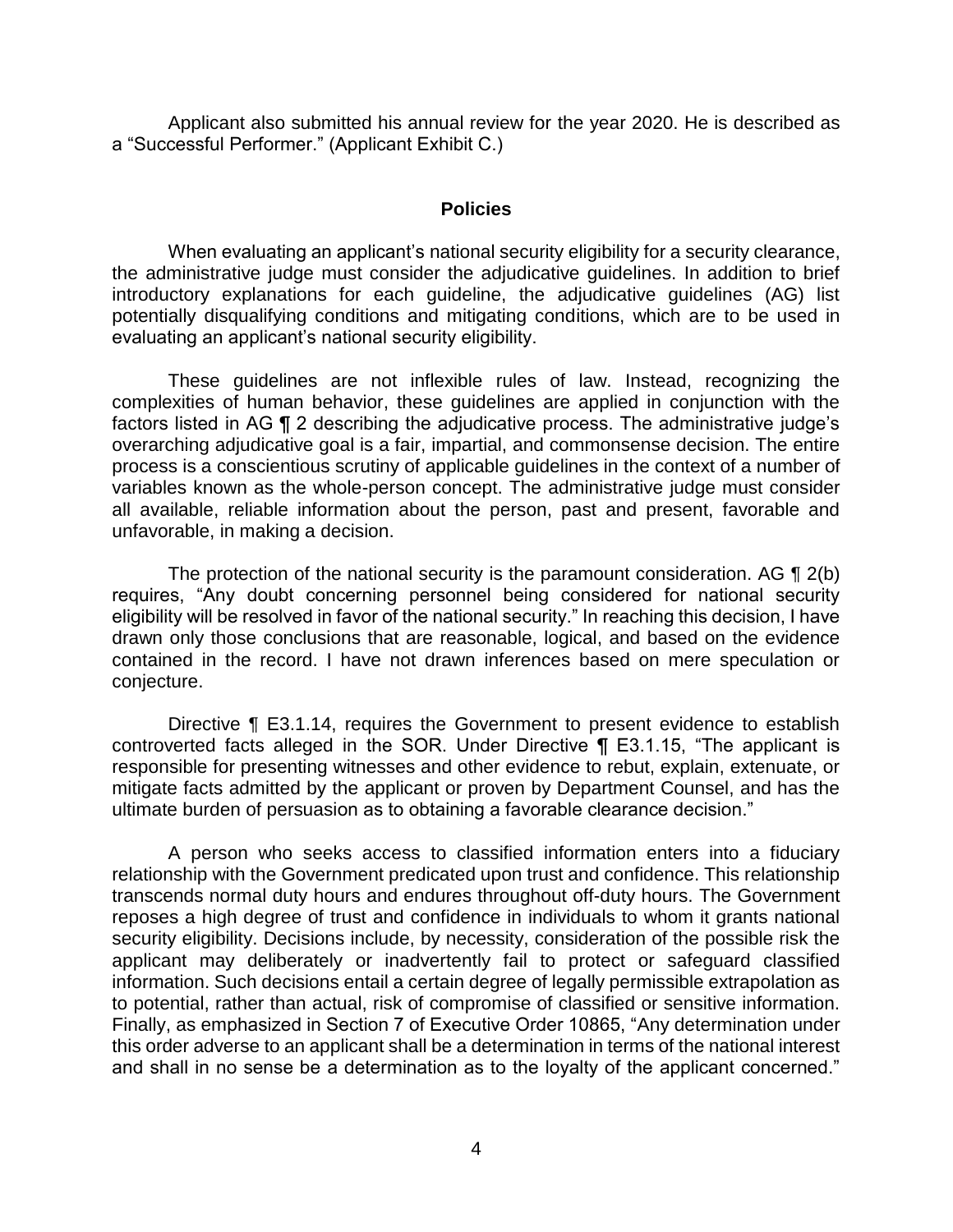Applicant also submitted his annual review for the year 2020. He is described as a "Successful Performer." (Applicant Exhibit C.)

#### **Policies**

 When evaluating an applicant's national security eligibility for a security clearance, the administrative judge must consider the adjudicative guidelines. In addition to brief potentially disqualifying conditions and mitigating conditions, which are to be used in introductory explanations for each guideline, the adjudicative guidelines (AG) list evaluating an applicant's national security eligibility.

 These guidelines are not inflexible rules of law. Instead, recognizing the complexities of human behavior, these guidelines are applied in conjunction with the factors listed in AG ¶ 2 describing the adjudicative process. The administrative judge's overarching adjudicative goal is a fair, impartial, and commonsense decision. The entire variables known as the whole-person concept. The administrative judge must consider all available, reliable information about the person, past and present, favorable and process is a conscientious scrutiny of applicable guidelines in the context of a number of unfavorable, in making a decision.

The protection of the national security is the paramount consideration. AG  $\P$  2(b) requires, "Any doubt concerning personnel being considered for national security eligibility will be resolved in favor of the national security." In reaching this decision, I have drawn only those conclusions that are reasonable, logical, and based on the evidence contained in the record. I have not drawn inferences based on mere speculation or conjecture.

 Directive ¶ E3.1.14, requires the Government to present evidence to establish controverted facts alleged in the SOR. Under Directive ¶ E3.1.15, "The applicant is responsible for presenting witnesses and other evidence to rebut, explain, extenuate, or mitigate facts admitted by the applicant or proven by Department Counsel, and has the ultimate burden of persuasion as to obtaining a favorable clearance decision."

 A person who seeks access to classified information enters into a fiduciary relationship with the Government predicated upon trust and confidence. This relationship transcends normal duty hours and endures throughout off-duty hours. The Government reposes a high degree of trust and confidence in individuals to whom it grants national security eligibility. Decisions include, by necessity, consideration of the possible risk the applicant may deliberately or inadvertently fail to protect or safeguard classified information. Such decisions entail a certain degree of legally permissible extrapolation as to potential, rather than actual, risk of compromise of classified or sensitive information. Finally, as emphasized in Section 7 of Executive Order 10865, "Any determination under this order adverse to an applicant shall be a determination in terms of the national interest and shall in no sense be a determination as to the loyalty of the applicant concerned."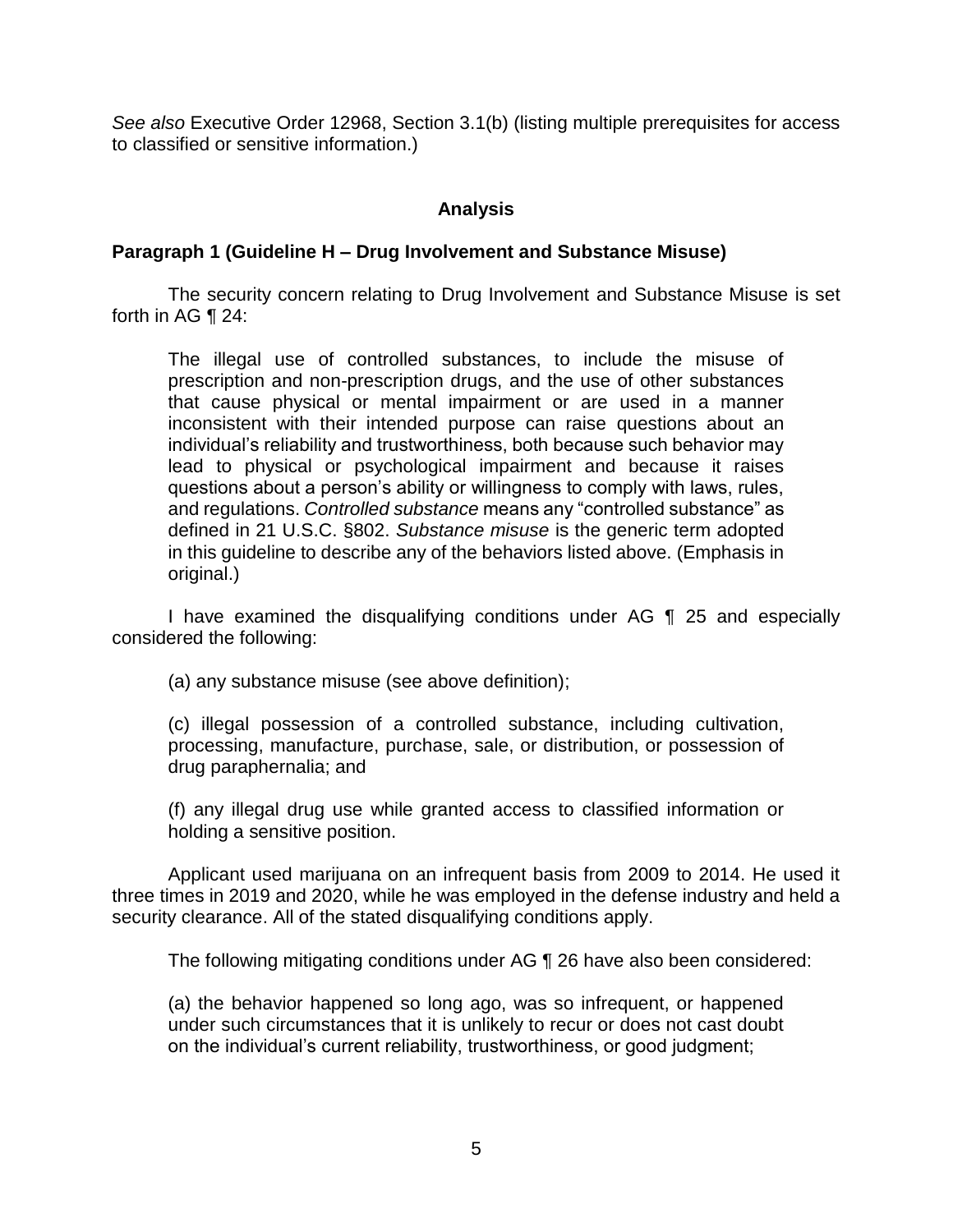*See also* Executive Order 12968, Section 3.1(b) (listing multiple prerequisites for access to classified or sensitive information.)

## **Analysis**

### **Paragraph 1 (Guideline H – Drug Involvement and Substance Misuse)**

 The security concern relating to Drug Involvement and Substance Misuse is set forth in AG ¶ 24:

The illegal use of controlled substances, to include the misuse of prescription and non-prescription drugs, and the use of other substances that cause physical or mental impairment or are used in a manner inconsistent with their intended purpose can raise questions about an individual's reliability and trustworthiness, both because such behavior may lead to physical or psychological impairment and because it raises questions about a person's ability or willingness to comply with laws, rules, and regulations. *Controlled substance* means any "controlled substance" as defined in 21 U.S.C. §802. *Substance misuse* is the generic term adopted in this guideline to describe any of the behaviors listed above. (Emphasis in original.)

 I have examined the disqualifying conditions under AG ¶ 25 and especially considered the following:

(a) any substance misuse (see above definition);

(c) illegal possession of a controlled substance, including cultivation, processing, manufacture, purchase, sale, or distribution, or possession of drug paraphernalia; and

 (f) any illegal drug use while granted access to classified information or holding a sensitive position.

 Applicant used marijuana on an infrequent basis from 2009 to 2014. He used it three times in 2019 and 2020, while he was employed in the defense industry and held a security clearance. All of the stated disqualifying conditions apply.

The following mitigating conditions under AG ¶ 26 have also been considered:

(a) the behavior happened so long ago, was so infrequent, or happened under such circumstances that it is unlikely to recur or does not cast doubt on the individual's current reliability, trustworthiness, or good judgment;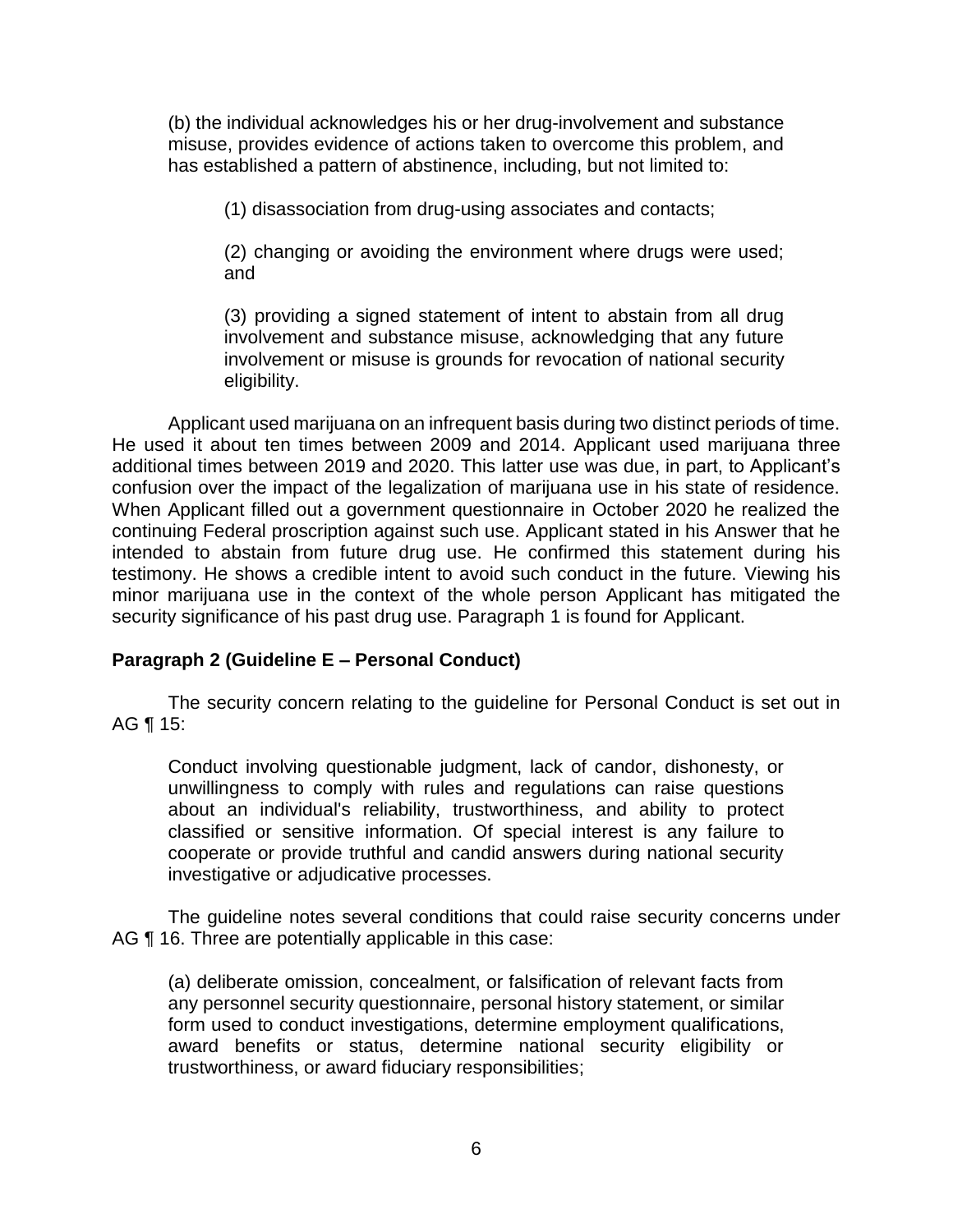(b) the individual acknowledges his or her drug-involvement and substance misuse, provides evidence of actions taken to overcome this problem, and has established a pattern of abstinence, including, but not limited to:

(1) disassociation from drug-using associates and contacts;

(2) changing or avoiding the environment where drugs were used; and

(3) providing a signed statement of intent to abstain from all drug involvement and substance misuse, acknowledging that any future involvement or misuse is grounds for revocation of national security eligibility.

 Applicant used marijuana on an infrequent basis during two distinct periods of time. He used it about ten times between 2009 and 2014. Applicant used marijuana three additional times between 2019 and 2020. This latter use was due, in part, to Applicant's confusion over the impact of the legalization of marijuana use in his state of residence. When Applicant filled out a government questionnaire in October 2020 he realized the continuing Federal proscription against such use. Applicant stated in his Answer that he intended to abstain from future drug use. He confirmed this statement during his testimony. He shows a credible intent to avoid such conduct in the future. Viewing his minor marijuana use in the context of the whole person Applicant has mitigated the security significance of his past drug use. Paragraph 1 is found for Applicant.

## **Paragraph 2 (Guideline E – Personal Conduct)**

 The security concern relating to the guideline for Personal Conduct is set out in AG ¶ 15:

Conduct involving questionable judgment, lack of candor, dishonesty, or unwillingness to comply with rules and regulations can raise questions about an individual's reliability, trustworthiness, and ability to protect classified or sensitive information. Of special interest is any failure to cooperate or provide truthful and candid answers during national security investigative or adjudicative processes.

 The guideline notes several conditions that could raise security concerns under AG ¶ 16. Three are potentially applicable in this case:

(a) deliberate omission, concealment, or falsification of relevant facts from any personnel security questionnaire, personal history statement, or similar form used to conduct investigations, determine employment qualifications, award benefits or status, determine national security eligibility or trustworthiness, or award fiduciary responsibilities;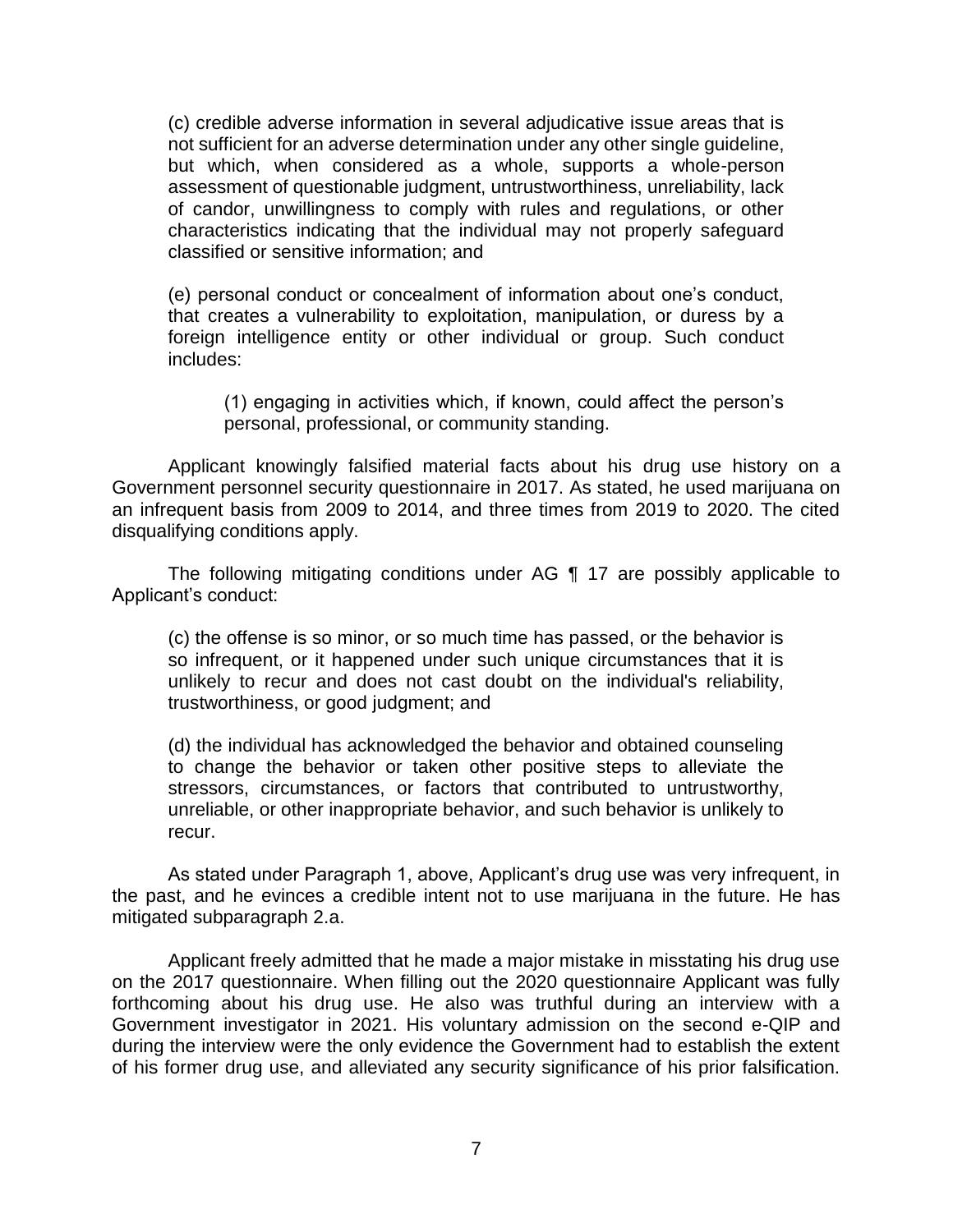(c) credible adverse information in several adjudicative issue areas that is not sufficient for an adverse determination under any other single guideline, but which, when considered as a whole, supports a whole-person assessment of questionable judgment, untrustworthiness, unreliability, lack of candor, unwillingness to comply with rules and regulations, or other characteristics indicating that the individual may not properly safeguard classified or sensitive information; and

(e) personal conduct or concealment of information about one's conduct, that creates a vulnerability to exploitation, manipulation, or duress by a foreign intelligence entity or other individual or group. Such conduct includes:

(1) engaging in activities which, if known, could affect the person's personal, professional, or community standing.

 Applicant knowingly falsified material facts about his drug use history on a Government personnel security questionnaire in 2017. As stated, he used marijuana on an infrequent basis from 2009 to 2014, and three times from 2019 to 2020. The cited disqualifying conditions apply.

The following mitigating conditions under AG ¶ 17 are possibly applicable to Applicant's conduct:

(c) the offense is so minor, or so much time has passed, or the behavior is so infrequent, or it happened under such unique circumstances that it is unlikely to recur and does not cast doubt on the individual's reliability, trustworthiness, or good judgment; and

(d) the individual has acknowledged the behavior and obtained counseling to change the behavior or taken other positive steps to alleviate the stressors, circumstances, or factors that contributed to untrustworthy, unreliable, or other inappropriate behavior, and such behavior is unlikely to recur.

 As stated under Paragraph 1, above, Applicant's drug use was very infrequent, in the past, and he evinces a credible intent not to use marijuana in the future. He has mitigated subparagraph 2.a.

 on the 2017 questionnaire. When filling out the 2020 questionnaire Applicant was fully forthcoming about his drug use. He also was truthful during an interview with a Government investigator in 2021. His voluntary admission on the second e-QIP and during the interview were the only evidence the Government had to establish the extent of his former drug use, and alleviated any security significance of his prior falsification. Applicant freely admitted that he made a major mistake in misstating his drug use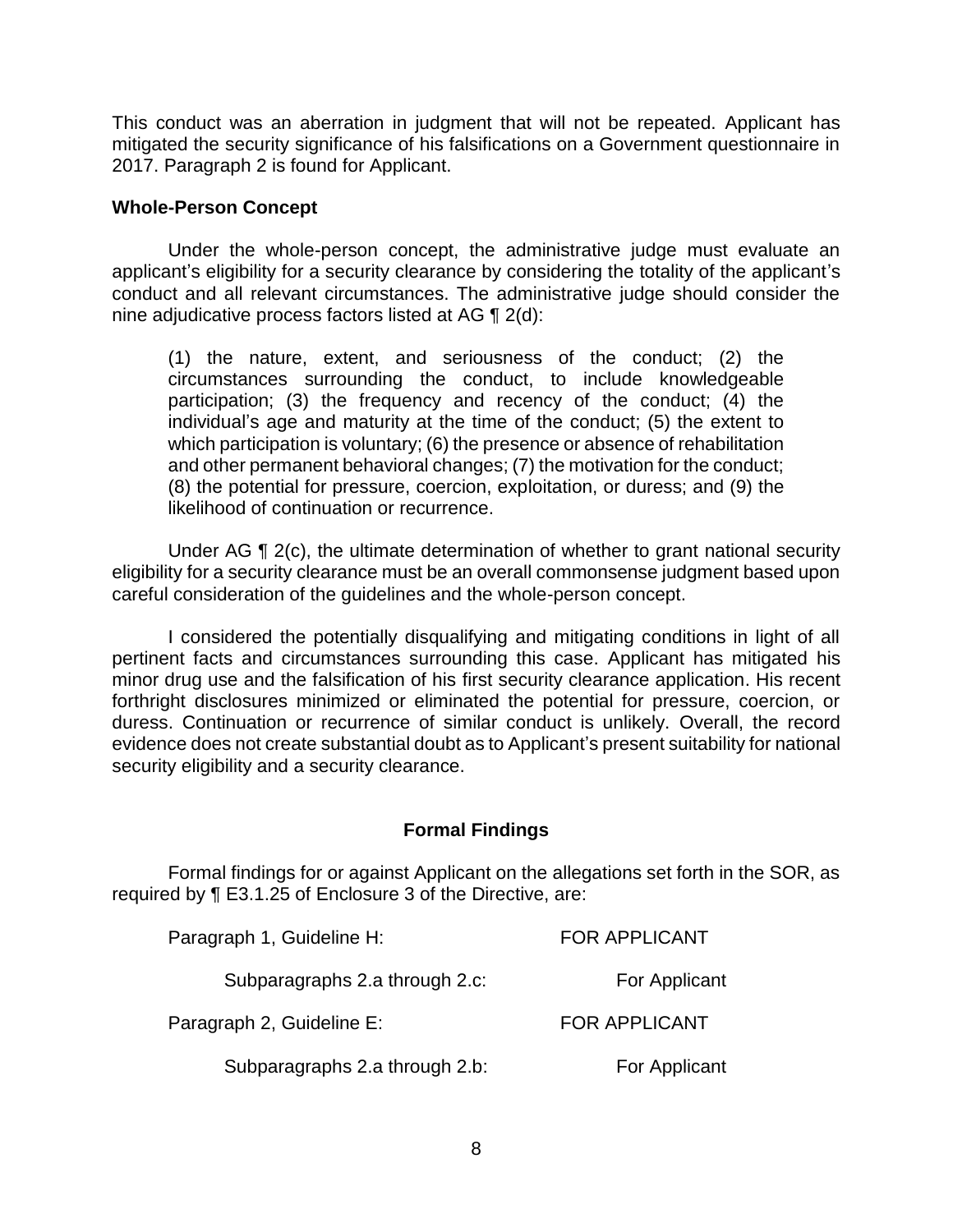This conduct was an aberration in judgment that will not be repeated. Applicant has mitigated the security significance of his falsifications on a Government questionnaire in 2017. Paragraph 2 is found for Applicant.

#### **Whole-Person Concept**

 Under the whole-person concept, the administrative judge must evaluate an applicant's eligibility for a security clearance by considering the totality of the applicant's conduct and all relevant circumstances. The administrative judge should consider the nine adjudicative process factors listed at AG ¶ 2(d):

 (1) the nature, extent, and seriousness of the conduct; (2) the circumstances surrounding the conduct, to include knowledgeable participation; (3) the frequency and recency of the conduct; (4) the individual's age and maturity at the time of the conduct; (5) the extent to which participation is voluntary; (6) the presence or absence of rehabilitation and other permanent behavioral changes; (7) the motivation for the conduct; (8) the potential for pressure, coercion, exploitation, or duress; and (9) the likelihood of continuation or recurrence.

Under AG ¶ 2(c), the ultimate determination of whether to grant national security eligibility for a security clearance must be an overall commonsense judgment based upon careful consideration of the guidelines and the whole-person concept.

 I considered the potentially disqualifying and mitigating conditions in light of all pertinent facts and circumstances surrounding this case. Applicant has mitigated his minor drug use and the falsification of his first security clearance application. His recent forthright disclosures minimized or eliminated the potential for pressure, coercion, or duress. Continuation or recurrence of similar conduct is unlikely. Overall, the record evidence does not create substantial doubt as to Applicant's present suitability for national security eligibility and a security clearance.

## **Formal Findings**

 Formal findings for or against Applicant on the allegations set forth in the SOR, as required by ¶ E3.1.25 of Enclosure 3 of the Directive, are:

| Paragraph 1, Guideline H:      | <b>FOR APPLICANT</b> |
|--------------------------------|----------------------|
| Subparagraphs 2.a through 2.c: | For Applicant        |
| Paragraph 2, Guideline E:      | FOR APPLICANT        |
| Subparagraphs 2.a through 2.b: | For Applicant        |